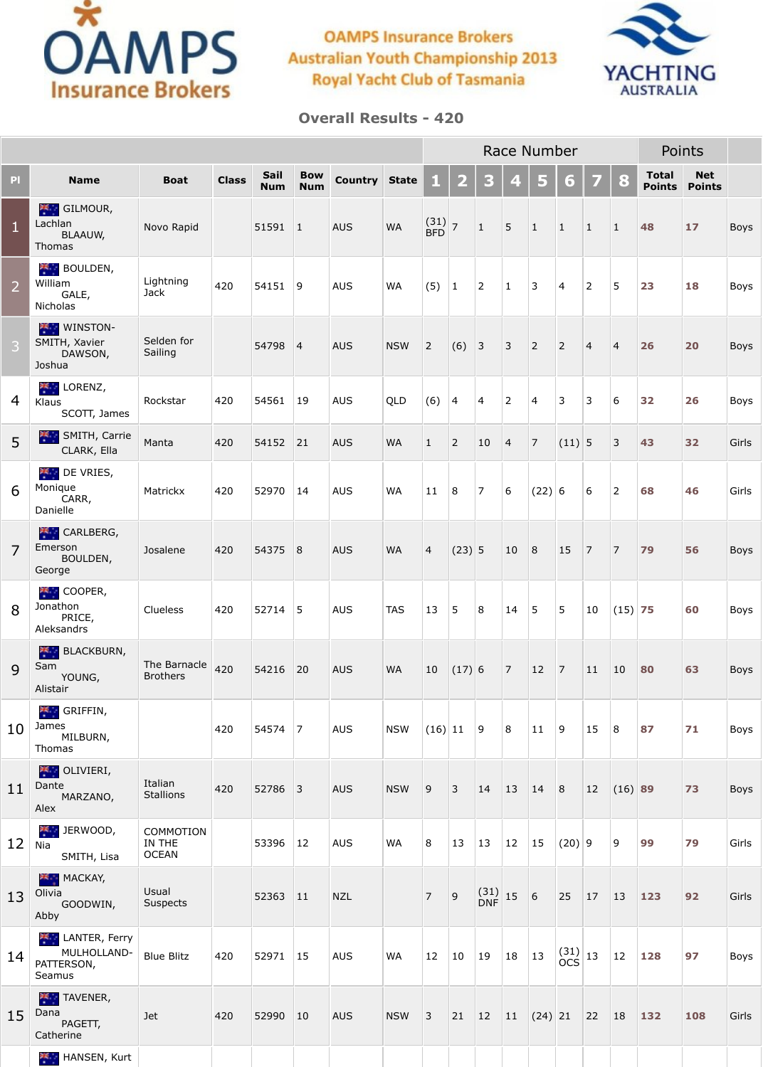

## **OAMPS Insurance Brokers Australian Youth Championship 2013 Royal Yacht Club of Tasmania**



## **Overall Results - 420**

|                |                                                             |                                     |              |                           |                          |                      |            |                        |                |                                                      |                | Race Number    |                                                      |                |                | Points                                                                      |                             |             |
|----------------|-------------------------------------------------------------|-------------------------------------|--------------|---------------------------|--------------------------|----------------------|------------|------------------------|----------------|------------------------------------------------------|----------------|----------------|------------------------------------------------------|----------------|----------------|-----------------------------------------------------------------------------|-----------------------------|-------------|
| PI             | <b>Name</b>                                                 | <b>Boat</b>                         | <b>Class</b> | <b>Sail</b><br><b>Num</b> | <b>Bow</b><br><b>Num</b> | <b>Country State</b> |            | $\bigoplus$            | $\mathbf{2}$   | 3                                                    | 4              | 5              | 67                                                   | 7              | 8              | <b>Total</b><br><b>Points</b>                                               | <b>Net</b><br><b>Points</b> |             |
| $\mathbf{1}$   | <b>K GILMOUR,</b><br>Lachlan<br><b>BLAAUW,</b><br>Thomas    | Novo Rapid                          |              | 51591                     | $\mathbf{1}$             | <b>AUS</b>           | <b>WA</b>  | $(31)$ 7<br><b>BFD</b> |                | $\mathbf{1}$                                         | 5              | $\mathbf{1}$   | $\vert$ 1                                            | $\mathbf{1}$   | $\mathbf{1}$   | 48                                                                          | $17$                        | <b>Boys</b> |
| $\overline{2}$ | <b>AND BOULDEN,</b><br>William<br>GALE,<br>Nicholas         | Lightning<br><b>Jack</b>            | 420          | 54151                     | 9                        | <b>AUS</b>           | <b>WA</b>  | (5)                    | $\mathbf{1}$   | $\overline{2}$                                       | $\mathbf{1}$   | 3              | $\overline{4}$                                       | $\overline{2}$ | 5              | 23                                                                          | 18                          | Boys        |
| 3              | <b>WINSTON-</b><br>SMITH, Xavier<br>DAWSON,<br>Joshua       | Selden for<br>Sailing               |              | 54798                     | $\overline{4}$           | <b>AUS</b>           | <b>NSW</b> | $\overline{2}$         | (6)            | $\vert$ 3                                            | 3              | $\overline{2}$ | $\overline{2}$                                       | $\overline{4}$ | $\overline{4}$ | 26                                                                          | 20                          | <b>Boys</b> |
| $\overline{4}$ | LORENZ,<br>Klaus<br>SCOTT, James                            | Rockstar                            | 420          | 54561                     | 19                       | <b>AUS</b>           | <b>QLD</b> | (6)                    | $\overline{4}$ | $\vert$ 4                                            | $\overline{2}$ | $\overline{4}$ | 3                                                    | 3              | 6              | 32                                                                          | 26                          | Boys        |
| 5              | SMITH, Carrie<br>CLARK, Ella                                | Manta                               | 420          | 54152                     | 21                       | <b>AUS</b>           | <b>WA</b>  | $\mathbf{1}$           | $\overline{2}$ | 10                                                   | $\overline{4}$ | 7              | $(11)$ 5                                             |                | 3              | 43                                                                          | 32                          | Girls       |
| 6              | <b>DE VRIES,</b><br>Monique<br>CARR,<br>Danielle            | Matrickx                            | 420          | 52970                     | 14                       | <b>AUS</b>           | <b>WA</b>  | 11                     | 8              | $\overline{7}$                                       | 6              | (22) 6         |                                                      | 6              | $\overline{2}$ | 68                                                                          | 46                          | Girls       |
| $\overline{7}$ | <b>AND CARLBERG,</b><br>Emerson<br>BOULDEN,<br>George       | Josalene                            | 420          | 54375 8                   |                          | <b>AUS</b>           | <b>WA</b>  | $\overline{4}$         | (23) 5         |                                                      | 10             | 8              | <b>15</b>                                            | $\overline{7}$ | $\boxed{7}$    | 79                                                                          | 56                          | <b>Boys</b> |
| 8              | <b>COOPER,</b><br>Jonathon<br>PRICE,<br>Aleksandrs          | Clueless                            | 420          | $52714$ 5                 |                          | <b>AUS</b>           | <b>TAS</b> | 13                     | 5              | 8                                                    | 14             | 5 <sup>1</sup> | 5                                                    | 10             | $(15)$ 75      |                                                                             | 60                          | Boys        |
| 9              | BLACKBURN,<br>Sam<br>YOUNG,<br>Alistair                     | The Barnacle<br><b>Brothers</b>     | 420          | 54216                     | 20                       | <b>AUS</b>           | <b>WA</b>  | 10                     | $(17)$ 6       |                                                      | $\boxed{7}$    | <b>12</b>      | 7                                                    | 11             | 10             | 80                                                                          | 63                          | <b>Boys</b> |
| 10             | <b>KI</b> GRIFFIN,<br>James<br>MILBURN,<br>Thomas           |                                     | 420          | $54574$  7                |                          | <b>AUS</b>           | <b>NSW</b> | (16) 11                |                | $ 9\rangle$                                          | 8              | 11             | <u>  9</u>                                           | 15             | 8              | 87                                                                          | 71                          | <b>Boys</b> |
| 11             | <b>ALL</b> OLIVIERI,<br>Dante<br>MARZANO,<br>Alex           | Italian<br><b>Stallions</b>         | 420          | 52786 3                   |                          | <b>AUS</b>           | <b>NSW</b> | 9                      | 3              | 14                                                   | $ 13\rangle$   | 14             | 8                                                    | 12             | $(16)$ 89      |                                                                             | 73                          | <b>Boys</b> |
| 12             | <b>THE JERWOOD,</b><br>Nia<br>SMITH, Lisa                   | COMMOTION<br>IN THE<br><b>OCEAN</b> |              | 53396                     | <sup>12</sup>            | <b>AUS</b>           | <b>WA</b>  | 8                      | 13             | $\vert$ 13                                           | 12             | <b>15</b>      | $(20)$ 9                                             |                | 9              | 99                                                                          | 79                          | Girls       |
| 13             | MACKAY,<br>Olivia<br>GOODWIN,<br>Abby                       | Usual<br><b>Suspects</b>            |              | 52363                     | 11                       | <b>NZL</b>           |            | $\overline{7}$         | $\overline{9}$ | $\begin{array}{c} (31) \\ \text{DNF} \end{array}$ 15 |                | 6              | 25                                                   | 17             | 13             | $\begin{array}{c} \n \begin{array}{c} \n 123 \n \end{array} \n \end{array}$ | 92                          | Girls       |
| 14             | <b>LANTER, Ferry</b><br>MULHOLLAND-<br>PATTERSON,<br>Seamus | <b>Blue Blitz</b>                   | 420          | 52971                     | $ 15\rangle$             | <b>AUS</b>           | <b>WA</b>  | 12                     | $\vert$ 10     | $ 19\rangle$                                         | 18             | <b>13</b>      | $\begin{array}{c} (31) \\ \text{OCS} \end{array}$ 13 |                | 12             | 128                                                                         | 97                          | Boys        |
| 15             | <b>TAVENER,</b><br>Dana<br>PAGETT,<br>Catherine             | <b>Jet</b>                          | 420          | 52990                     | 10                       | <b>AUS</b>           | <b>NSW</b> | $\overline{3}$         | 21             | 12                                                   | $ 11\rangle$   | (24) 21        |                                                      | 22             | 18             | $132$                                                                       | 108                         | Girls       |
|                | <b>HANSEN</b> , Kurt                                        |                                     |              |                           |                          |                      |            |                        |                |                                                      |                |                |                                                      |                |                |                                                                             |                             |             |